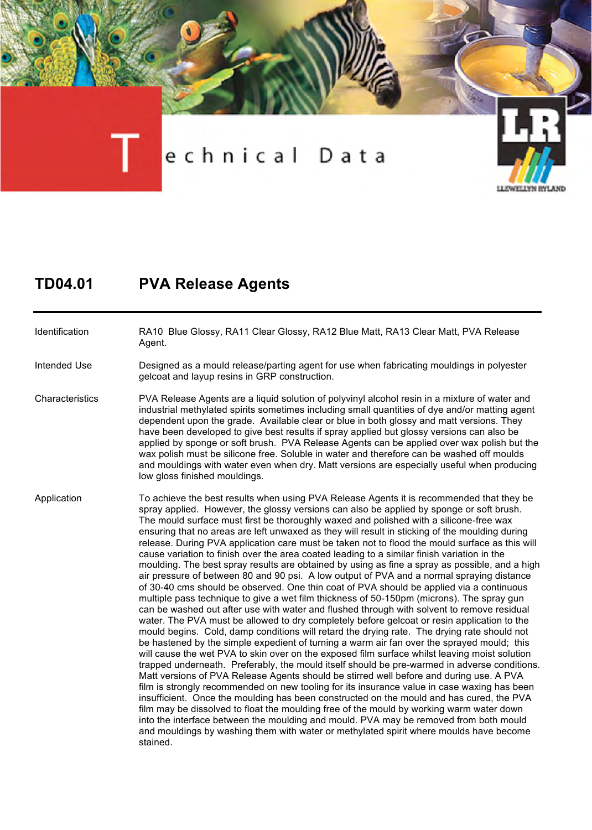

## **TD04.01 PVA Release Agents**

Identification RA10 Blue Glossy, RA11 Clear Glossy, RA12 Blue Matt, RA13 Clear Matt, PVA Release Agent.

Intended Use Designed as a mould release/parting agent for use when fabricating mouldings in polyester gelcoat and layup resins in GRP construction.

Characteristics PVA Release Agents are a liquid solution of polyvinyl alcohol resin in a mixture of water and industrial methylated spirits sometimes including small quantities of dye and/or matting agent dependent upon the grade. Available clear or blue in both glossy and matt versions. They have been developed to give best results if spray applied but glossy versions can also be applied by sponge or soft brush. PVA Release Agents can be applied over wax polish but the wax polish must be silicone free. Soluble in water and therefore can be washed off moulds and mouldings with water even when dry. Matt versions are especially useful when producing low gloss finished mouldings.

Application To achieve the best results when using PVA Release Agents it is recommended that they be spray applied. However, the glossy versions can also be applied by sponge or soft brush. The mould surface must first be thoroughly waxed and polished with a silicone-free wax ensuring that no areas are left unwaxed as they will result in sticking of the moulding during release. During PVA application care must be taken not to flood the mould surface as this will cause variation to finish over the area coated leading to a similar finish variation in the moulding. The best spray results are obtained by using as fine a spray as possible, and a high air pressure of between 80 and 90 psi. A low output of PVA and a normal spraying distance of 30-40 cms should be observed. One thin coat of PVA should be applied via a continuous multiple pass technique to give a wet film thickness of 50-150pm (microns). The spray gun can be washed out after use with water and flushed through with solvent to remove residual water. The PVA must be allowed to dry completely before gelcoat or resin application to the mould begins. Cold, damp conditions will retard the drying rate. The drying rate should not be hastened by the simple expedient of turning a warm air fan over the sprayed mould; this will cause the wet PVA to skin over on the exposed film surface whilst leaving moist solution trapped underneath. Preferably, the mould itself should be pre-warmed in adverse conditions. Matt versions of PVA Release Agents should be stirred well before and during use. A PVA film is strongly recommended on new tooling for its insurance value in case waxing has been insufficient. Once the moulding has been constructed on the mould and has cured, the PVA film may be dissolved to float the moulding free of the mould by working warm water down into the interface between the moulding and mould. PVA may be removed from both mould and mouldings by washing them with water or methylated spirit where moulds have become stained.